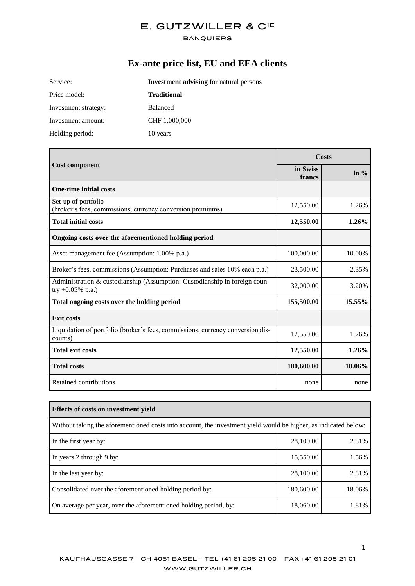#### **BANQUIERS**

# **Ex-ante price list, EU and EEA clients**

| Service:             | <b>Investment advising for natural persons</b> |  |
|----------------------|------------------------------------------------|--|
| Price model:         | <b>Traditional</b>                             |  |
| Investment strategy: | <b>Balanced</b>                                |  |
| Investment amount:   | CHF 1,000,000                                  |  |
| Holding period:      | 10 years                                       |  |

|                                                                                                   | Costs              |         |
|---------------------------------------------------------------------------------------------------|--------------------|---------|
| <b>Cost component</b>                                                                             | in Swiss<br>francs | in $\%$ |
| <b>One-time initial costs</b>                                                                     |                    |         |
| Set-up of portfolio<br>(broker's fees, commissions, currency conversion premiums)                 | 12,550.00          | 1.26%   |
| <b>Total initial costs</b>                                                                        | 12,550.00          | 1.26%   |
| Ongoing costs over the aforementioned holding period                                              |                    |         |
| Asset management fee (Assumption: 1.00% p.a.)                                                     | 100,000.00         | 10.00%  |
| Broker's fees, commissions (Assumption: Purchases and sales 10% each p.a.)                        | 23,500.00          | 2.35%   |
| Administration & custodianship (Assumption: Custodianship in foreign coun-<br>try $+0.05\%$ p.a.) | 32,000.00          | 3.20%   |
| Total ongoing costs over the holding period                                                       | 155,500.00         | 15.55%  |
| <b>Exit costs</b>                                                                                 |                    |         |
| Liquidation of portfolio (broker's fees, commissions, currency conversion dis-<br>counts)         | 12,550.00          | 1.26%   |
| <b>Total exit costs</b>                                                                           | 12,550.00          | 1.26%   |
| <b>Total costs</b>                                                                                | 180,600.00         | 18.06%  |
| Retained contributions                                                                            | none               | none    |

| Effects of costs on investment yield                                                                            |            |        |  |
|-----------------------------------------------------------------------------------------------------------------|------------|--------|--|
| Without taking the aforementioned costs into account, the investment yield would be higher, as indicated below: |            |        |  |
| In the first year by:                                                                                           | 28,100.00  | 2.81%  |  |
| In years 2 through 9 by:                                                                                        | 15,550.00  | 1.56%  |  |
| In the last year by:                                                                                            | 28,100.00  | 2.81%  |  |
| Consolidated over the aforementioned holding period by:                                                         | 180,600.00 | 18.06% |  |
| On average per year, over the aforementioned holding period, by:                                                | 18,060.00  | 1.81%  |  |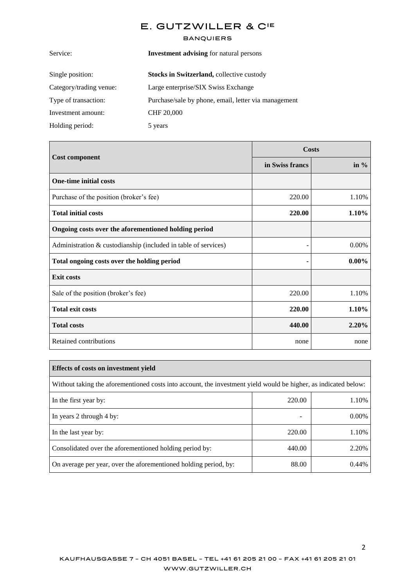| <b>Investment advising for natural persons</b>       |  |
|------------------------------------------------------|--|
| Stocks in Switzerland, collective custody            |  |
| Large enterprise/SIX Swiss Exchange                  |  |
| Purchase/sale by phone, email, letter via management |  |
| <b>CHF 20,000</b>                                    |  |
| 5 years                                              |  |
|                                                      |  |

| <b>Cost component</b>                                          | Costs           |          |
|----------------------------------------------------------------|-----------------|----------|
|                                                                | in Swiss francs | in $%$   |
| <b>One-time initial costs</b>                                  |                 |          |
| Purchase of the position (broker's fee)                        | 220.00          | 1.10%    |
| <b>Total initial costs</b>                                     | 220.00          | 1.10%    |
| Ongoing costs over the aforementioned holding period           |                 |          |
| Administration & custodianship (included in table of services) |                 | 0.00%    |
| Total ongoing costs over the holding period                    |                 | $0.00\%$ |
| <b>Exit costs</b>                                              |                 |          |
| Sale of the position (broker's fee)                            | 220.00          | 1.10%    |
| <b>Total exit costs</b>                                        | 220.00          | 1.10%    |
| <b>Total costs</b>                                             | 440.00          | 2.20%    |
| Retained contributions                                         | none            | none     |

| Effects of costs on investment yield                                                                            |        |          |  |
|-----------------------------------------------------------------------------------------------------------------|--------|----------|--|
| Without taking the aforementioned costs into account, the investment yield would be higher, as indicated below: |        |          |  |
| In the first year by:                                                                                           | 220.00 | 1.10%    |  |
| In years 2 through 4 by:                                                                                        | -      | $0.00\%$ |  |
| In the last year by:                                                                                            | 220.00 | 1.10%    |  |
| Consolidated over the aforementioned holding period by:                                                         | 440.00 | 2.20%    |  |
| On average per year, over the aforementioned holding period, by:                                                | 88.00  | 0.44%    |  |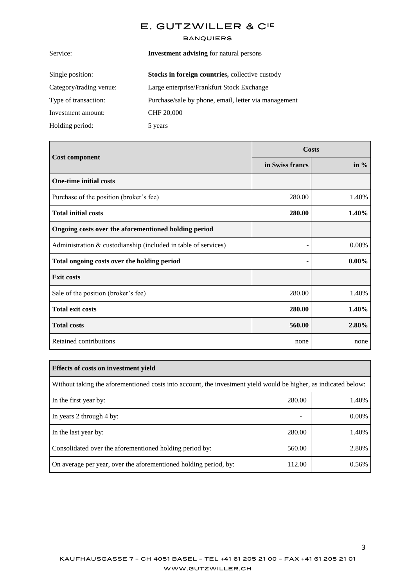| <b>Investment advising for natural persons</b>         |  |
|--------------------------------------------------------|--|
| <b>Stocks in foreign countries, collective custody</b> |  |
| Large enterprise/Frankfurt Stock Exchange              |  |
| Purchase/sale by phone, email, letter via management   |  |
| CHF 20,000                                             |  |
| 5 years                                                |  |
|                                                        |  |

|                                                                | <b>Costs</b>    |          |
|----------------------------------------------------------------|-----------------|----------|
| <b>Cost component</b>                                          | in Swiss francs | in $%$   |
| <b>One-time initial costs</b>                                  |                 |          |
| Purchase of the position (broker's fee)                        | 280.00          | 1.40%    |
| <b>Total initial costs</b>                                     | 280.00          | 1.40%    |
| Ongoing costs over the aforementioned holding period           |                 |          |
| Administration & custodianship (included in table of services) |                 | 0.00%    |
| Total ongoing costs over the holding period                    |                 | $0.00\%$ |
| <b>Exit costs</b>                                              |                 |          |
| Sale of the position (broker's fee)                            | 280.00          | 1.40%    |
| <b>Total exit costs</b>                                        | 280.00          | 1.40%    |
| <b>Total costs</b>                                             | 560.00          | 2.80%    |
| Retained contributions                                         | none            | none     |

| Effects of costs on investment yield                                                                            |        |       |  |
|-----------------------------------------------------------------------------------------------------------------|--------|-------|--|
| Without taking the aforementioned costs into account, the investment yield would be higher, as indicated below: |        |       |  |
| In the first year by:                                                                                           | 280.00 | 1.40% |  |
| In years 2 through 4 by:                                                                                        | -      | 0.00% |  |
| In the last year by:                                                                                            | 280.00 | 1.40% |  |
| Consolidated over the aforementioned holding period by:                                                         | 560.00 | 2.80% |  |
| On average per year, over the aforementioned holding period, by:                                                | 112.00 | 0.56% |  |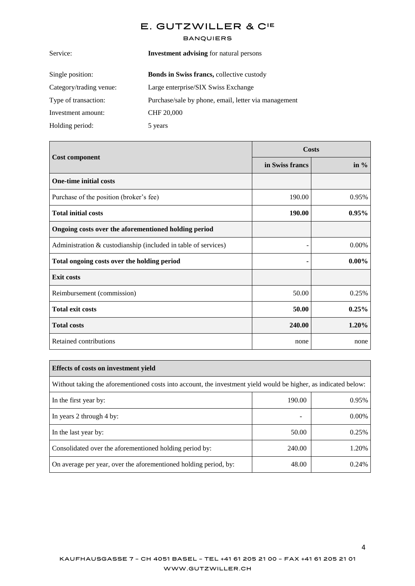| <b>Investment advising for natural persons</b>       |  |
|------------------------------------------------------|--|
| <b>Bonds in Swiss francs, collective custody</b>     |  |
| Large enterprise/SIX Swiss Exchange                  |  |
| Purchase/sale by phone, email, letter via management |  |
| CHF 20,000                                           |  |
| 5 years                                              |  |
|                                                      |  |

| <b>Cost component</b>                                          | Costs           |          |
|----------------------------------------------------------------|-----------------|----------|
|                                                                | in Swiss francs | in $%$   |
| <b>One-time initial costs</b>                                  |                 |          |
| Purchase of the position (broker's fee)                        | 190.00          | 0.95%    |
| <b>Total initial costs</b>                                     | 190.00          | 0.95%    |
| Ongoing costs over the aforementioned holding period           |                 |          |
| Administration & custodianship (included in table of services) |                 | 0.00%    |
| Total ongoing costs over the holding period                    |                 | $0.00\%$ |
| <b>Exit costs</b>                                              |                 |          |
| Reimbursement (commission)                                     | 50.00           | 0.25%    |
| <b>Total exit costs</b>                                        | 50.00           | 0.25%    |
| <b>Total costs</b>                                             | 240.00          | 1.20%    |
| Retained contributions                                         | none            | none     |

| Effects of costs on investment yield                                                                            |        |       |  |
|-----------------------------------------------------------------------------------------------------------------|--------|-------|--|
| Without taking the aforementioned costs into account, the investment yield would be higher, as indicated below: |        |       |  |
| In the first year by:                                                                                           | 190.00 | 0.95% |  |
| In years 2 through 4 by:                                                                                        |        | 0.00% |  |
| In the last year by:                                                                                            | 50.00  | 0.25% |  |
| Consolidated over the aforementioned holding period by:                                                         | 240.00 | 1.20% |  |
| On average per year, over the aforementioned holding period, by:                                                | 48.00  | 0.24% |  |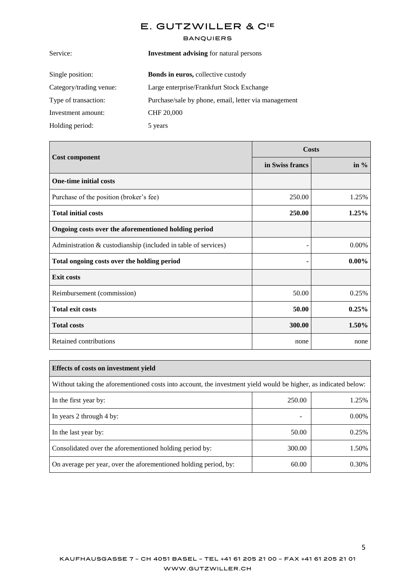| <b>Investment advising for natural persons</b>       |  |
|------------------------------------------------------|--|
| <b>Bonds in euros, collective custody</b>            |  |
| Large enterprise/Frankfurt Stock Exchange            |  |
| Purchase/sale by phone, email, letter via management |  |
| CHF 20,000                                           |  |
| 5 years                                              |  |
|                                                      |  |

| <b>Cost component</b>                                          | Costs           |          |
|----------------------------------------------------------------|-----------------|----------|
|                                                                | in Swiss francs | in $%$   |
| <b>One-time initial costs</b>                                  |                 |          |
| Purchase of the position (broker's fee)                        | 250.00          | 1.25%    |
| <b>Total initial costs</b>                                     | 250.00          | 1.25%    |
| Ongoing costs over the aforementioned holding period           |                 |          |
| Administration & custodianship (included in table of services) |                 | 0.00%    |
| Total ongoing costs over the holding period                    |                 | $0.00\%$ |
| <b>Exit costs</b>                                              |                 |          |
| Reimbursement (commission)                                     | 50.00           | 0.25%    |
| <b>Total exit costs</b>                                        | 50.00           | 0.25%    |
| <b>Total costs</b>                                             | 300.00          | 1.50%    |
| Retained contributions                                         | none            | none     |

| Effects of costs on investment yield                                                                            |        |          |  |  |
|-----------------------------------------------------------------------------------------------------------------|--------|----------|--|--|
| Without taking the aforementioned costs into account, the investment yield would be higher, as indicated below: |        |          |  |  |
| In the first year by:                                                                                           | 250.00 | 1.25%    |  |  |
| In years 2 through 4 by:                                                                                        | -      | $0.00\%$ |  |  |
| In the last year by:                                                                                            | 50.00  | 0.25%    |  |  |
| Consolidated over the aforementioned holding period by:                                                         | 300.00 | 1.50%    |  |  |
| On average per year, over the aforementioned holding period, by:                                                | 60.00  | 0.30%    |  |  |